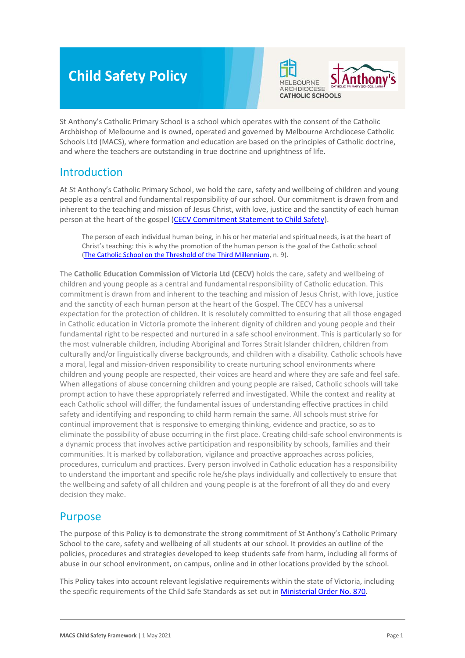# **Child Safety Policy**



St Anthony's Catholic Primary School is a school which operates with the consent of the Catholic Archbishop of Melbourne and is owned, operated and governed by Melbourne Archdiocese Catholic Schools Ltd (MACS), where formation and education are based on the principles of Catholic doctrine, and where the teachers are outstanding in true doctrine and uprightness of life.

## Introduction

At St Anthony's Catholic Primary School, we hold the care, safety and wellbeing of children and young people as a central and fundamental responsibility of our school. Our commitment is drawn from and inherent to the teaching and mission of Jesus Christ, with love, justice and the sanctity of each human person at the heart of the gospel [\(CECV Commitment Statement to Child Safety\)](https://www.cecv.catholic.edu.au/getmedia/b5d43278-51b9-4704-b45a-f14e50546a70/Commitment-Statement-A4.aspx).

The person of each individual human being, in his or her material and spiritual needs, is at the heart of Christ's teaching: this is why the promotion of the human person is the goal of the Catholic school [\(The Catholic School on the Threshold of the Third Millennium,](http://www.vatican.va/roman_curia/congregations/ccatheduc/documents/rc_con_ccatheduc_doc_27041998_school2000_en.html) n. 9).

The **Catholic Education Commission of Victoria Ltd (CECV)** holds the care, safety and wellbeing of children and young people as a central and fundamental responsibility of Catholic education. This commitment is drawn from and inherent to the teaching and mission of Jesus Christ, with love, justice and the sanctity of each human person at the heart of the Gospel. The CECV has a universal expectation for the protection of children. It is resolutely committed to ensuring that all those engaged in Catholic education in Victoria promote the inherent dignity of children and young people and their fundamental right to be respected and nurtured in a safe school environment. This is particularly so for the most vulnerable children, including Aboriginal and Torres Strait Islander children, children from culturally and/or linguistically diverse backgrounds, and children with a disability. Catholic schools have a moral, legal and mission-driven responsibility to create nurturing school environments where children and young people are respected, their voices are heard and where they are safe and feel safe. When allegations of abuse concerning children and young people are raised, Catholic schools will take prompt action to have these appropriately referred and investigated. While the context and reality at each Catholic school will differ, the fundamental issues of understanding effective practices in child safety and identifying and responding to child harm remain the same. All schools must strive for continual improvement that is responsive to emerging thinking, evidence and practice, so as to eliminate the possibility of abuse occurring in the first place. Creating child-safe school environments is a dynamic process that involves active participation and responsibility by schools, families and their communities. It is marked by collaboration, vigilance and proactive approaches across policies, procedures, curriculum and practices. Every person involved in Catholic education has a responsibility to understand the important and specific role he/she plays individually and collectively to ensure that the wellbeing and safety of all children and young people is at the forefront of all they do and every decision they make.

## Purpose

The purpose of this Policy is to demonstrate the strong commitment of St Anthony's Catholic Primary School to the care, safety and wellbeing of all students at our school. It provides an outline of the policies, procedures and strategies developed to keep students safe from harm, including all forms of abuse in our school environment, on campus, online and in other locations provided by the school.

This Policy takes into account relevant legislative requirements within the state of Victoria, including the specific requirements of the Child Safe Standards as set out in [Ministerial Order No. 870.](http://www.gazette.vic.gov.au/gazette/Gazettes2016/GG2016S002.pdf)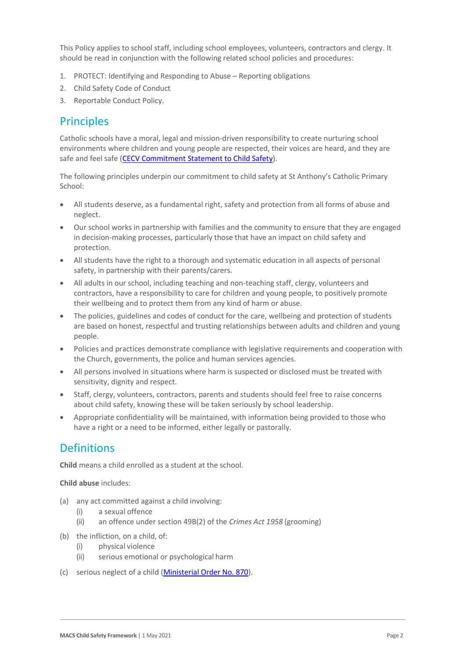This Policy applies to school staff, including school employees, volunteers, contractors and clergy. It should be read in conjunction with the following related school policies and procedures:

- 1. PROTECT: Identifying and Responding to Abuse Reporting obligations
- 2. Child Safety Code of Conduct
- 3. Reportable Conduct Policy.

## **Principles**

Catholic schools have a moral, legal and mission-driven responsibility to create nurturing school environments where children and young people are respected, their voices are heard, and they are safe and feel safe [\(CECV Commitment Statement to Child Safety\)](https://www.cecv.catholic.edu.au/getmedia/b5d43278-51b9-4704-b45a-f14e50546a70/Commitment-Statement-A4.aspx).

The following principles underpin our commitment to child safety at St Anthony's Catholic Primary School:

- All students deserve, as a fundamental right, safety and protection from all forms of abuse and neglect.
- Our school works in partnership with families and the community to ensure that they are engaged in decision-making processes, particularly those that have an impact on child safety and protection.
- All students have the right to a thorough and systematic education in all aspects of personal safety, in partnership with their parents/carers.
- All adults in our school, including teaching and non-teaching staff, clergy, volunteers and contractors, have a responsibility to care for children and young people, to positively promote their wellbeing and to protect them from any kind of harm or abuse.
- The policies, guidelines and codes of conduct for the care, wellbeing and protection of students are based on honest, respectful and trusting relationships between adults and children and young people.
- Policies and practices demonstrate compliance with legislative requirements and cooperation with the Church, governments, the police and human services agencies.
- All persons involved in situations where harm is suspected or disclosed must be treated with sensitivity, dignity and respect.
- Staff, clergy, volunteers, contractors, parents and students should feel free to raise concerns about child safety, knowing these will be taken seriously by school leadership.
- Appropriate confidentiality will be maintained, with information being provided to those who have a right or a need to be informed, either legally or pastorally.

## **Definitions**

**Child** means a child enrolled as a student at the school.

**Child abuse** includes:

- (a) any act committed against a child involving:
	- (i) a sexual offence
	- (ii) an offence under section 49B(2) of the *Crimes Act 1958* (grooming)
- (b) the infliction, on a child, of:
	- (i) physical violence
	- (ii) serious emotional or psychological harm
- (c) serious neglect of a child [\(Ministerial Order No. 870\)](http://www.gazette.vic.gov.au/gazette/Gazettes2016/GG2016S002.pdf).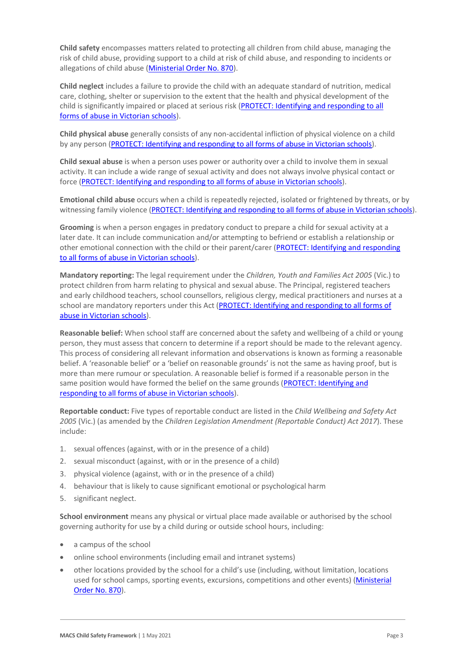**Child safety** encompasses matters related to protecting all children from child abuse, managing the risk of child abuse, providing support to a child at risk of child abuse, and responding to incidents or allegations of child abuse [\(Ministerial Order No. 870\)](http://www.gazette.vic.gov.au/gazette/Gazettes2016/GG2016S002.pdf).

**Child neglect** includes a failure to provide the child with an adequate standard of nutrition, medical care, clothing, shelter or supervision to the extent that the health and physical development of the child is significantly impaired or placed at serious risk (PROTECT: Identifying and responding to all [forms of abuse in Victorian schools\)](http://www.cecv.catholic.edu.au/getmedia/ebe135a4-d1b3-48a0-81fe-50d4fc451bcd/Identifying-and-Responding-to-All-Forms-of-Abuse.aspx#page%3D27).

**Child physical abuse** generally consists of any non-accidental infliction of physical violence on a child by any person [\(PROTECT: Identifying and responding to all forms of abuse in Victorian schools\)](https://www.cecv.catholic.edu.au/getmedia/ebe135a4-d1b3-48a0-81fe-50d4fc451bcd/Identifying-and-Responding-to-All-Forms-of-Abuse.aspx#page%3D15).

**Child sexual abuse** is when a person uses power or authority over a child to involve them in sexual activity. It can include a wide range of sexual activity and does not always involve physical contact or force [\(PROTECT: Identifying and responding to](https://www.cecv.catholic.edu.au/getmedia/ebe135a4-d1b3-48a0-81fe-50d4fc451bcd/Identifying-and-Responding-to-All-Forms-of-Abuse.aspx#page%3D17) all forms of abuse in Victorian schools).

**Emotional child abuse** occurs when a child is repeatedly rejected, isolated or frightened by threats, or by witnessing family violence [\(PROTECT: Identifying and responding to all forms of abuse in Victorian schools\)](https://www.cecv.catholic.edu.au/getmedia/ebe135a4-d1b3-48a0-81fe-50d4fc451bcd/Identifying-and-Responding-to-All-Forms-of-Abuse.aspx#page%3D26).

**Grooming** is when a person engages in predatory conduct to prepare a child for sexual activity at a later date. It can include communication and/or attempting to befriend or establish a relationship or other emotional connection with the child or their parent/carer [\(PROTECT: Identifying and responding](https://www.cecv.catholic.edu.au/getmedia/ebe135a4-d1b3-48a0-81fe-50d4fc451bcd/Identifying-and-Responding-to-All-Forms-of-Abuse.aspx#page%3D20)  [to all forms of abuse in Victorian schools\)](https://www.cecv.catholic.edu.au/getmedia/ebe135a4-d1b3-48a0-81fe-50d4fc451bcd/Identifying-and-Responding-to-All-Forms-of-Abuse.aspx#page%3D20).

**Mandatory reporting:** The legal requirement under the *Children, Youth and Families Act 2005* (Vic.) to protect children from harm relating to physical and sexual abuse. The Principal, registered teachers and early childhood teachers, school counsellors, religious clergy, medical practitioners and nurses at a school are mandatory reporters under this Act [\(PROTECT: Identifying and responding to all forms of](http://www.cecv.catholic.edu.au/getmedia/ebe135a4-d1b3-48a0-81fe-50d4fc451bcd/Identifying-and-Responding-to-All-Forms-of-Abuse.aspx#page%3D8)  [abuse in Victorian schools\)](http://www.cecv.catholic.edu.au/getmedia/ebe135a4-d1b3-48a0-81fe-50d4fc451bcd/Identifying-and-Responding-to-All-Forms-of-Abuse.aspx#page%3D8).

**Reasonable belief:** When school staff are concerned about the safety and wellbeing of a child or young person, they must assess that concern to determine if a report should be made to the relevant agency. This process of considering all relevant information and observations is known as forming a reasonable belief. A 'reasonable belief' or a 'belief on reasonable grounds' is not the same as having proof, but is more than mere rumour or speculation. A reasonable belief is formed if a reasonable person in the same position would have formed the belief on the same grounds [\(PROTECT: Identifying and](http://www.cecv.catholic.edu.au/getmedia/ebe135a4-d1b3-48a0-81fe-50d4fc451bcd/Identifying-and-Responding-to-All-Forms-of-Abuse.aspx#page%3D35)  [responding to all forms of abuse in Victorian schools\)](http://www.cecv.catholic.edu.au/getmedia/ebe135a4-d1b3-48a0-81fe-50d4fc451bcd/Identifying-and-Responding-to-All-Forms-of-Abuse.aspx#page%3D35).

**Reportable conduct:** Five types of reportable conduct are listed in the *Child Wellbeing and Safety Act 2005* (Vic.) (as amended by the *Children Legislation Amendment (Reportable Conduct) Act 2017*). These include:

- 1. sexual offences (against, with or in the presence of a child)
- 2. sexual misconduct (against, with or in the presence of a child)
- 3. physical violence (against, with or in the presence of a child)
- 4. behaviour that is likely to cause significant emotional or psychological harm
- 5. significant neglect.

**School environment** means any physical or virtual place made available or authorised by the school governing authority for use by a child during or outside school hours, including:

- a campus of the school
- online school environments (including email and intranet systems)
- other locations provided by the school for a child's use (including, without limitation, locations used for school camps, sporting events, excursions, competitions and other events) (Ministerial [Order No. 870\)](http://www.gazette.vic.gov.au/gazette/Gazettes2016/GG2016S002.pdf).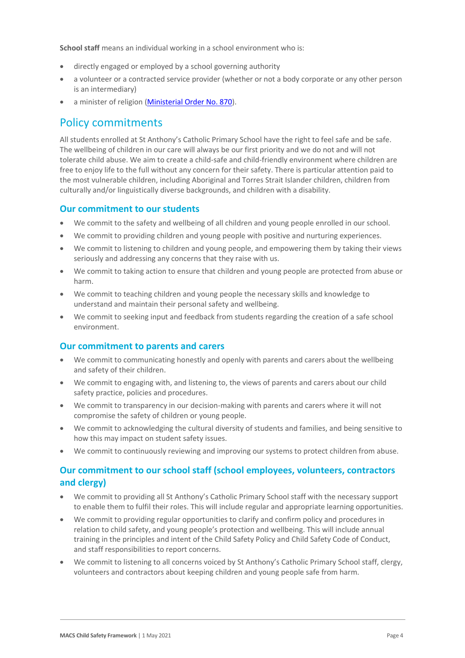**School staff** means an individual working in a school environment who is:

- directly engaged or employed by a school governing authority
- a volunteer or a contracted service provider (whether or not a body corporate or any other person is an intermediary)
- a minister of religion [\(Ministerial Order No. 870\)](http://www.gazette.vic.gov.au/gazette/Gazettes2016/GG2016S002.pdf).

### Policy commitments

All students enrolled at St Anthony's Catholic Primary School have the right to feel safe and be safe. The wellbeing of children in our care will always be our first priority and we do not and will not tolerate child abuse. We aim to create a child-safe and child-friendly environment where children are free to enjoy life to the full without any concern for their safety. There is particular attention paid to the most vulnerable children, including Aboriginal and Torres Strait Islander children, children from culturally and/or linguistically diverse backgrounds, and children with a disability.

#### **Our commitment to our students**

- We commit to the safety and wellbeing of all children and young people enrolled in our school.
- We commit to providing children and young people with positive and nurturing experiences.
- We commit to listening to children and young people, and empowering them by taking their views seriously and addressing any concerns that they raise with us.
- We commit to taking action to ensure that children and young people are protected from abuse or harm.
- We commit to teaching children and young people the necessary skills and knowledge to understand and maintain their personal safety and wellbeing.
- We commit to seeking input and feedback from students regarding the creation of a safe school environment.

#### **Our commitment to parents and carers**

- We commit to communicating honestly and openly with parents and carers about the wellbeing and safety of their children.
- We commit to engaging with, and listening to, the views of parents and carers about our child safety practice, policies and procedures.
- We commit to transparency in our decision-making with parents and carers where it will not compromise the safety of children or young people.
- We commit to acknowledging the cultural diversity of students and families, and being sensitive to how this may impact on student safety issues.
- We commit to continuously reviewing and improving our systems to protect children from abuse.

### **Our commitment to our school staff (school employees, volunteers, contractors and clergy)**

- We commit to providing all St Anthony's Catholic Primary School staff with the necessary support to enable them to fulfil their roles. This will include regular and appropriate learning opportunities.
- We commit to providing regular opportunities to clarify and confirm policy and procedures in relation to child safety, and young people's protection and wellbeing. This will include annual training in the principles and intent of the Child Safety Policy and Child Safety Code of Conduct, and staff responsibilities to report concerns.
- We commit to listening to all concerns voiced by St Anthony's Catholic Primary School staff, clergy, volunteers and contractors about keeping children and young people safe from harm.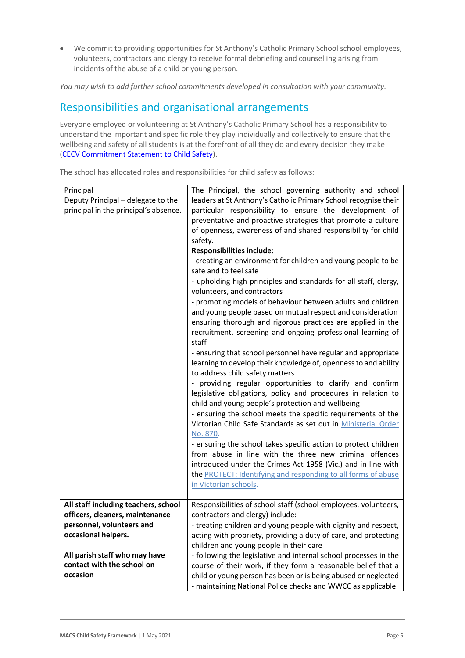• We commit to providing opportunities for St Anthony's Catholic Primary School school employees, volunteers, contractors and clergy to receive formal debriefing and counselling arising from incidents of the abuse of a child or young person.

*You may wish to add further school commitments developed in consultation with your community.*

## Responsibilities and organisational arrangements

Everyone employed or volunteering at St Anthony's Catholic Primary School has a responsibility to understand the important and specific role they play individually and collectively to ensure that the wellbeing and safety of all students is at the forefront of all they do and every decision they make [\(CECV Commitment Statement to Child Safety\)](https://www.cecv.catholic.edu.au/getmedia/b5d43278-51b9-4704-b45a-f14e50546a70/Commitment-Statement-A4.aspx).

The school has allocated roles and responsibilities for child safety as follows:

| Principal                             | The Principal, the school governing authority and school         |
|---------------------------------------|------------------------------------------------------------------|
| Deputy Principal - delegate to the    | leaders at St Anthony's Catholic Primary School recognise their  |
| principal in the principal's absence. | particular responsibility to ensure the development of           |
|                                       | preventative and proactive strategies that promote a culture     |
|                                       | of openness, awareness of and shared responsibility for child    |
|                                       | safety.                                                          |
|                                       | <b>Responsibilities include:</b>                                 |
|                                       | - creating an environment for children and young people to be    |
|                                       | safe and to feel safe                                            |
|                                       | - upholding high principles and standards for all staff, clergy, |
|                                       | volunteers, and contractors                                      |
|                                       | - promoting models of behaviour between adults and children      |
|                                       | and young people based on mutual respect and consideration       |
|                                       | ensuring thorough and rigorous practices are applied in the      |
|                                       | recruitment, screening and ongoing professional learning of      |
|                                       | staff                                                            |
|                                       | - ensuring that school personnel have regular and appropriate    |
|                                       | learning to develop their knowledge of, openness to and ability  |
|                                       | to address child safety matters                                  |
|                                       | - providing regular opportunities to clarify and confirm         |
|                                       | legislative obligations, policy and procedures in relation to    |
|                                       | child and young people's protection and wellbeing                |
|                                       | - ensuring the school meets the specific requirements of the     |
|                                       | Victorian Child Safe Standards as set out in Ministerial Order   |
|                                       | No. 870.                                                         |
|                                       | - ensuring the school takes specific action to protect children  |
|                                       | from abuse in line with the three new criminal offences          |
|                                       | introduced under the Crimes Act 1958 (Vic.) and in line with     |
|                                       | the PROTECT: Identifying and responding to all forms of abuse    |
|                                       | in Victorian schools.                                            |
| All staff including teachers, school  | Responsibilities of school staff (school employees, volunteers,  |
| officers, cleaners, maintenance       | contractors and clergy) include:                                 |
| personnel, volunteers and             | - treating children and young people with dignity and respect,   |
| occasional helpers.                   | acting with propriety, providing a duty of care, and protecting  |
|                                       | children and young people in their care                          |
| All parish staff who may have         | - following the legislative and internal school processes in the |
| contact with the school on            | course of their work, if they form a reasonable belief that a    |
| occasion                              | child or young person has been or is being abused or neglected   |
|                                       | - maintaining National Police checks and WWCC as applicable      |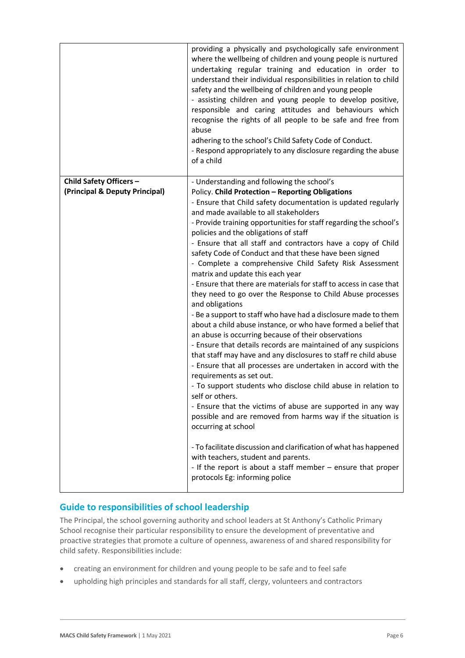|                                                           | providing a physically and psychologically safe environment<br>where the wellbeing of children and young people is nurtured<br>undertaking regular training and education in order to<br>understand their individual responsibilities in relation to child<br>safety and the wellbeing of children and young people<br>- assisting children and young people to develop positive,<br>responsible and caring attitudes and behaviours which<br>recognise the rights of all people to be safe and free from<br>abuse<br>adhering to the school's Child Safety Code of Conduct.<br>- Respond appropriately to any disclosure regarding the abuse<br>of a child                                                                                                                                                                                                                                                                                                                                                                                                                                                                                                                                                                                                                                                                                                                                                                                                                                                                                                                                   |
|-----------------------------------------------------------|-----------------------------------------------------------------------------------------------------------------------------------------------------------------------------------------------------------------------------------------------------------------------------------------------------------------------------------------------------------------------------------------------------------------------------------------------------------------------------------------------------------------------------------------------------------------------------------------------------------------------------------------------------------------------------------------------------------------------------------------------------------------------------------------------------------------------------------------------------------------------------------------------------------------------------------------------------------------------------------------------------------------------------------------------------------------------------------------------------------------------------------------------------------------------------------------------------------------------------------------------------------------------------------------------------------------------------------------------------------------------------------------------------------------------------------------------------------------------------------------------------------------------------------------------------------------------------------------------|
| Child Safety Officers -<br>(Principal & Deputy Principal) | - Understanding and following the school's<br>Policy. Child Protection - Reporting Obligations<br>- Ensure that Child safety documentation is updated regularly<br>and made available to all stakeholders<br>- Provide training opportunities for staff regarding the school's<br>policies and the obligations of staff<br>- Ensure that all staff and contractors have a copy of Child<br>safety Code of Conduct and that these have been signed<br>- Complete a comprehensive Child Safety Risk Assessment<br>matrix and update this each year<br>- Ensure that there are materials for staff to access in case that<br>they need to go over the Response to Child Abuse processes<br>and obligations<br>- Be a support to staff who have had a disclosure made to them<br>about a child abuse instance, or who have formed a belief that<br>an abuse is occurring because of their observations<br>- Ensure that details records are maintained of any suspicions<br>that staff may have and any disclosures to staff re child abuse<br>- Ensure that all processes are undertaken in accord with the<br>requirements as set out.<br>- To support students who disclose child abuse in relation to<br>self or others.<br>- Ensure that the victims of abuse are supported in any way<br>possible and are removed from harms way if the situation is<br>occurring at school<br>- To facilitate discussion and clarification of what has happened<br>with teachers, student and parents.<br>- If the report is about a staff member $-$ ensure that proper<br>protocols Eg: informing police |

### **Guide to responsibilities of school leadership**

The Principal, the school governing authority and school leaders at St Anthony's Catholic Primary School recognise their particular responsibility to ensure the development of preventative and proactive strategies that promote a culture of openness, awareness of and shared responsibility for child safety. Responsibilities include:

- creating an environment for children and young people to be safe and to feel safe
- upholding high principles and standards for all staff, clergy, volunteers and contractors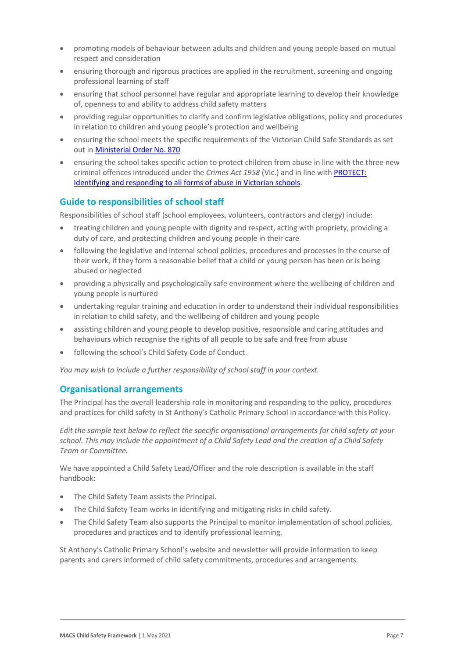- promoting models of behaviour between adults and children and young people based on mutual respect and consideration
- ensuring thorough and rigorous practices are applied in the recruitment, screening and ongoing professional learning of staff
- ensuring that school personnel have regular and appropriate learning to develop their knowledge of, openness to and ability to address child safety matters
- providing regular opportunities to clarify and confirm legislative obligations, policy and procedures in relation to children and young people's protection and wellbeing
- ensuring the school meets the specific requirements of the Victorian Child Safe Standards as set out i[n Ministerial Order No. 870](http://www.gazette.vic.gov.au/gazette/Gazettes2016/GG2016S002.pdf)
- ensuring the school takes specific action to protect children from abuse in line with the three new criminal offences introduced under the *Crimes Act 1958* (Vic.) and in line with [PROTECT:](http://www.cecv.catholic.edu.au/getmedia/ebe135a4-d1b3-48a0-81fe-50d4fc451bcd/Identifying-and-Responding-to-All-Forms-of-Abuse.aspx)  [Identifying and responding to all forms of abuse in Victorian schools.](http://www.cecv.catholic.edu.au/getmedia/ebe135a4-d1b3-48a0-81fe-50d4fc451bcd/Identifying-and-Responding-to-All-Forms-of-Abuse.aspx)

### **Guide to responsibilities of school staff**

Responsibilities of school staff (school employees, volunteers, contractors and clergy) include:

- treating children and young people with dignity and respect, acting with propriety, providing a duty of care, and protecting children and young people in their care
- following the legislative and internal school policies, procedures and processes in the course of their work, if they form a reasonable belief that a child or young person has been or is being abused or neglected
- providing a physically and psychologically safe environment where the wellbeing of children and young people is nurtured
- undertaking regular training and education in order to understand their individual responsibilities in relation to child safety, and the wellbeing of children and young people
- assisting children and young people to develop positive, responsible and caring attitudes and behaviours which recognise the rights of all people to be safe and free from abuse
- following the school's Child Safety Code of Conduct.

*You may wish to include a further responsibility of school staff in your context.*

#### **Organisational arrangements**

The Principal has the overall leadership role in monitoring and responding to the policy, procedures and practices for child safety in St Anthony's Catholic Primary School in accordance with this Policy.

*Edit the sample text below to reflect the specific organisational arrangements for child safety at your school. This may include the appointment of a Child Safety Lead and the creation of a Child Safety Team or Committee.*

We have appointed a Child Safety Lead/Officer and the role description is available in the staff handbook:

- The Child Safety Team assists the Principal.
- The Child Safety Team works in identifying and mitigating risks in child safety.
- The Child Safety Team also supports the Principal to monitor implementation of school policies, procedures and practices and to identify professional learning.

St Anthony's Catholic Primary School's website and newsletter will provide information to keep parents and carers informed of child safety commitments, procedures and arrangements.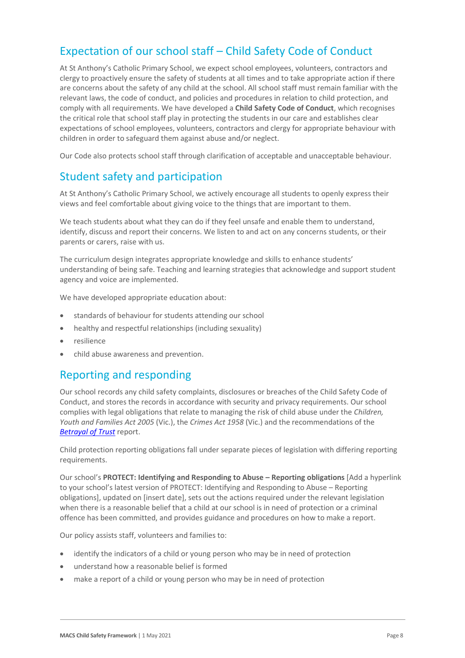## Expectation of our school staff – Child Safety Code of Conduct

At St Anthony's Catholic Primary School, we expect school employees, volunteers, contractors and clergy to proactively ensure the safety of students at all times and to take appropriate action if there are concerns about the safety of any child at the school. All school staff must remain familiar with the relevant laws, the code of conduct, and policies and procedures in relation to child protection, and comply with all requirements. We have developed a **Child Safety Code of Conduct**, which recognises the critical role that school staff play in protecting the students in our care and establishes clear expectations of school employees, volunteers, contractors and clergy for appropriate behaviour with children in order to safeguard them against abuse and/or neglect.

Our Code also protects school staff through clarification of acceptable and unacceptable behaviour.

## Student safety and participation

At St Anthony's Catholic Primary School, we actively encourage all students to openly express their views and feel comfortable about giving voice to the things that are important to them.

We teach students about what they can do if they feel unsafe and enable them to understand, identify, discuss and report their concerns. We listen to and act on any concerns students, or their parents or carers, raise with us.

The curriculum design integrates appropriate knowledge and skills to enhance students' understanding of being safe. Teaching and learning strategies that acknowledge and support student agency and voice are implemented.

We have developed appropriate education about:

- standards of behaviour for students attending our school
- healthy and respectful relationships (including sexuality)
- resilience
- child abuse awareness and prevention.

## Reporting and responding

Our school records any child safety complaints, disclosures or breaches of the Child Safety Code of Conduct, and stores the records in accordance with security and privacy requirements. Our school complies with legal obligations that relate to managing the risk of child abuse under the *Children, Youth and Families Act 2005* (Vic.), the *Crimes Act 1958* (Vic.) and the recommendations of the *[Betrayal of Trust](http://www.parliament.vic.gov.au/fcdc/article/1788)* report.

Child protection reporting obligations fall under separate pieces of legislation with differing reporting requirements.

Our school's **PROTECT: Identifying and Responding to Abuse – Reporting obligations** [Add a hyperlink to your school's latest version of PROTECT: Identifying and Responding to Abuse – Reporting obligations], updated on [insert date], sets out the actions required under the relevant legislation when there is a reasonable belief that a child at our school is in need of protection or a criminal offence has been committed, and provides guidance and procedures on how to make a report.

Our policy assists staff, volunteers and families to:

- identify the indicators of a child or young person who may be in need of protection
- understand how a reasonable belief is formed
- make a report of a child or young person who may be in need of protection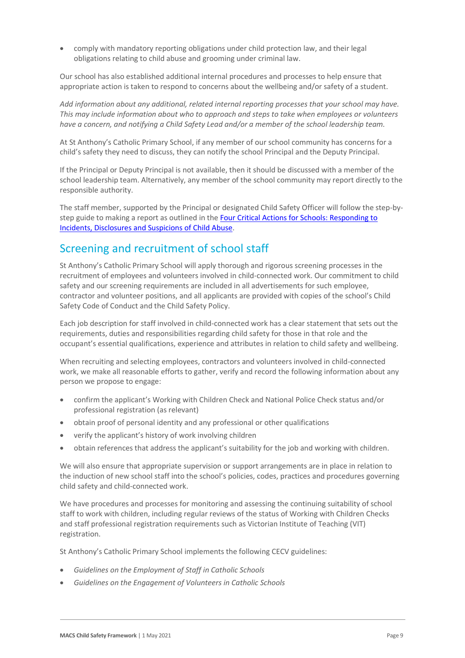• comply with mandatory reporting obligations under child protection law, and their legal obligations relating to child abuse and grooming under criminal law.

Our school has also established additional internal procedures and processes to help ensure that appropriate action is taken to respond to concerns about the wellbeing and/or safety of a student.

*Add information about any additional, related internal reporting processes that your school may have. This may include information about who to approach and steps to take when employees or volunteers have a concern, and notifying a Child Safety Lead and/or a member of the school leadership team.*

At St Anthony's Catholic Primary School, if any member of our school community has concerns for a child's safety they need to discuss, they can notify the school Principal and the Deputy Principal.

If the Principal or Deputy Principal is not available, then it should be discussed with a member of the school leadership team. Alternatively, any member of the school community may report directly to the responsible authority.

The staff member, supported by the Principal or designated Child Safety Officer will follow the step-bystep guide to making a report as outlined in the Four Critical Actions for Schools: Responding to [Incidents, Disclosures and Suspicions of Child Abuse.](https://www.education.vic.gov.au/Documents/about/programs/health/protect/FourCriticalActions_ChildAbuse.pdf)

## Screening and recruitment of school staff

St Anthony's Catholic Primary School will apply thorough and rigorous screening processes in the recruitment of employees and volunteers involved in child-connected work. Our commitment to child safety and our screening requirements are included in all advertisements for such employee, contractor and volunteer positions, and all applicants are provided with copies of the school's Child Safety Code of Conduct and the Child Safety Policy.

Each job description for staff involved in child-connected work has a clear statement that sets out the requirements, duties and responsibilities regarding child safety for those in that role and the occupant's essential qualifications, experience and attributes in relation to child safety and wellbeing.

When recruiting and selecting employees, contractors and volunteers involved in child-connected work, we make all reasonable efforts to gather, verify and record the following information about any person we propose to engage:

- confirm the applicant's Working with Children Check and National Police Check status and/or professional registration (as relevant)
- obtain proof of personal identity and any professional or other qualifications
- verify the applicant's history of work involving children
- obtain references that address the applicant's suitability for the job and working with children.

We will also ensure that appropriate supervision or support arrangements are in place in relation to the induction of new school staff into the school's policies, codes, practices and procedures governing child safety and child-connected work.

We have procedures and processes for monitoring and assessing the continuing suitability of school staff to work with children, including regular reviews of the status of Working with Children Checks and staff professional registration requirements such as Victorian Institute of Teaching (VIT) registration.

St Anthony's Catholic Primary School implements the following CECV guidelines:

- *Guidelines on the Employment of Staff in Catholic Schools*
- *Guidelines on the Engagement of Volunteers in Catholic Schools*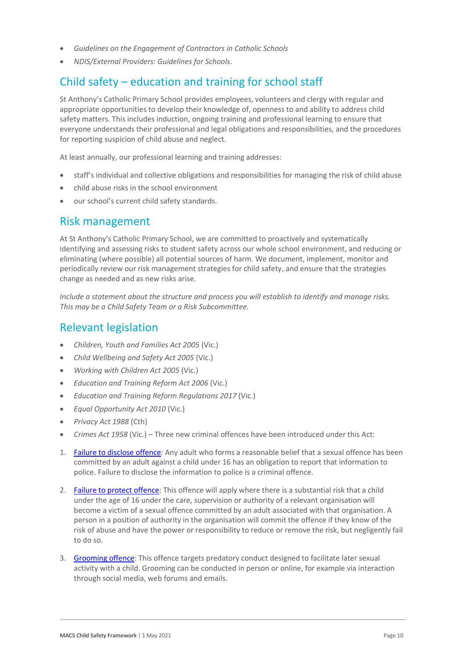- *Guidelines on the Engagement of Contractors in Catholic Schools*
- *NDIS/External Providers: Guidelines for Schools*.

## Child safety – education and training for school staff

St Anthony's Catholic Primary School provides employees, volunteers and clergy with regular and appropriate opportunities to develop their knowledge of, openness to and ability to address child safety matters. This includes induction, ongoing training and professional learning to ensure that everyone understands their professional and legal obligations and responsibilities, and the procedures for reporting suspicion of child abuse and neglect.

At least annually, our professional learning and training addresses:

- staff's individual and collective obligations and responsibilities for managing the risk of child abuse
- child abuse risks in the school environment
- our school's current child safety standards.

### Risk management

At St Anthony's Catholic Primary School, we are committed to proactively and systematically identifying and assessing risks to student safety across our whole school environment, and reducing or eliminating (where possible) all potential sources of harm. We document, implement, monitor and periodically review our risk management strategies for child safety, and ensure that the strategies change as needed and as new risks arise.

*Include a statement about the structure and process you will establish to identify and manage risks. This may be a Child Safety Team or a Risk Subcommittee.*

## Relevant legislation

- *Children, Youth and Families Act 2005* (Vic.)
- *Child Wellbeing and Safety Act 2005* (Vic.)
- *Working with Children Act 2005* (Vic.)
- *Education and Training Reform Act 2006* (Vic.)
- *Education and Training Reform Regulations 2017* (Vic.)
- *Equal Opportunity Act 2010* (Vic.)
- *Privacy Act 1988* (Cth)
- *Crimes Act 1958* (Vic.) Three new criminal offences have been introduced under this Act:
- 1. [Failure to disclose offence:](https://www.justice.vic.gov.au/safer-communities/protecting-children-and-families/failure-to-disclose-offence#%3A~%3Atext%3DIn%202014%2C%20the%20law%20in%20Victoria%20was%20changed%2Coffended%20against%20a%20child%20under%2016%20in%20Victoria) Any adult who forms a reasonable belief that a sexual offence has been committed by an adult against a child under 16 has an obligation to report that information to police. Failure to disclose the information to police is a criminal offence.
- 2. [Failure to protect offence:](https://www.justice.vic.gov.au/safer-communities/protecting-children-and-families/failure-to-protect-a-new-criminal-offence-to#%3A~%3Atext%3DFailure%20to%20protect%3A%20a%20new%20criminal%20offence%20to%2Cfrom%20sexual%20abuse%20and%20exposure%20to%20sexual%20offenders) This offence will apply where there is a substantial risk that a child under the age of 16 under the care, supervision or authority of a relevant organisation will become a victim of a sexual offence committed by an adult associated with that organisation. A person in a position of authority in the organisation will commit the offence if they know of the risk of abuse and have the power or responsibility to reduce or remove the risk, but negligently fail to do so.
- 3. [Grooming offence:](https://www.justice.vic.gov.au/safer-communities/protecting-children-and-families/grooming-offence) This offence targets predatory conduct designed to facilitate later sexual activity with a child. Grooming can be conducted in person or online, for example via interaction through social media, web forums and emails.